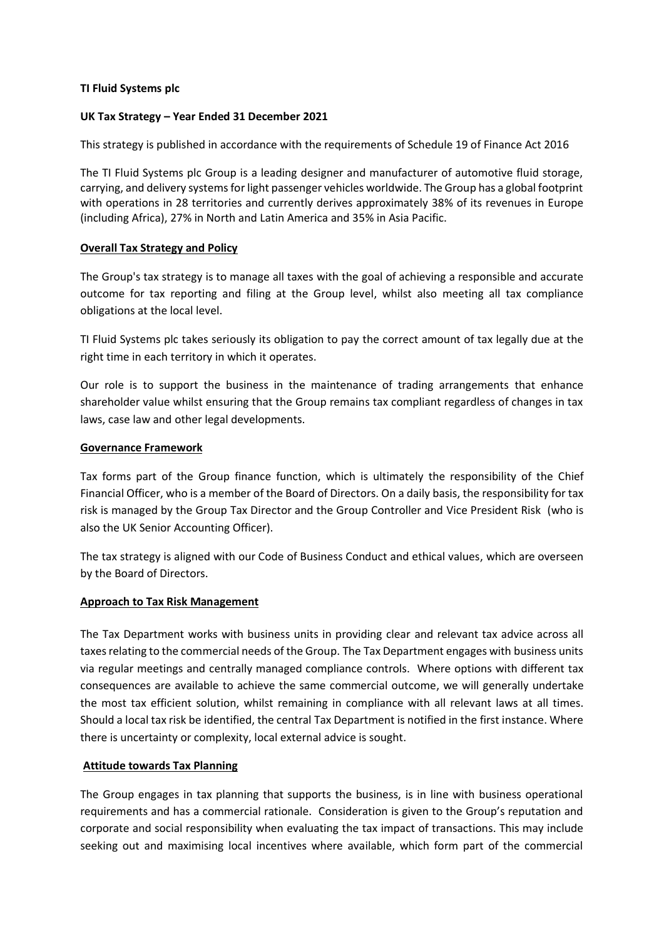#### **TI Fluid Systems plc**

## **UK Tax Strategy – Year Ended 31 December 2021**

This strategy is published in accordance with the requirements of Schedule 19 of Finance Act 2016

The TI Fluid Systems plc Group is a leading designer and manufacturer of automotive fluid storage, carrying, and delivery systems for light passenger vehicles worldwide. The Group has a global footprint with operations in 28 territories and currently derives approximately 38% of its revenues in Europe (including Africa), 27% in North and Latin America and 35% in Asia Pacific.

## **Overall Tax Strategy and Policy**

The Group's tax strategy is to manage all taxes with the goal of achieving a responsible and accurate outcome for tax reporting and filing at the Group level, whilst also meeting all tax compliance obligations at the local level.

TI Fluid Systems plc takes seriously its obligation to pay the correct amount of tax legally due at the right time in each territory in which it operates.

Our role is to support the business in the maintenance of trading arrangements that enhance shareholder value whilst ensuring that the Group remains tax compliant regardless of changes in tax laws, case law and other legal developments.

#### **Governance Framework**

Tax forms part of the Group finance function, which is ultimately the responsibility of the Chief Financial Officer, who is a member of the Board of Directors. On a daily basis, the responsibility for tax risk is managed by the Group Tax Director and the Group Controller and Vice President Risk (who is also the UK Senior Accounting Officer).

The tax strategy is aligned with our Code of Business Conduct and ethical values, which are overseen by the Board of Directors.

#### **Approach to Tax Risk Management**

The Tax Department works with business units in providing clear and relevant tax advice across all taxes relating to the commercial needs of the Group. The Tax Department engages with business units via regular meetings and centrally managed compliance controls. Where options with different tax consequences are available to achieve the same commercial outcome, we will generally undertake the most tax efficient solution, whilst remaining in compliance with all relevant laws at all times. Should a local tax risk be identified, the central Tax Department is notified in the first instance. Where there is uncertainty or complexity, local external advice is sought.

# **Attitude towards Tax Planning**

The Group engages in tax planning that supports the business, is in line with business operational requirements and has a commercial rationale. Consideration is given to the Group's reputation and corporate and social responsibility when evaluating the tax impact of transactions. This may include seeking out and maximising local incentives where available, which form part of the commercial